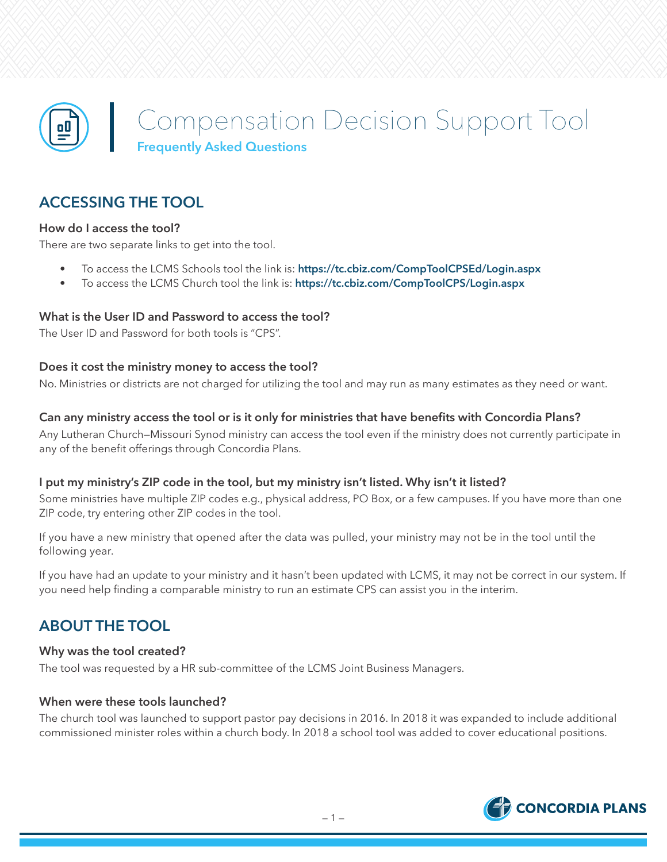

# **ACCESSING THE TOOL**

### **How do I access the tool?**

There are two separate links to get into the tool.

- To access the LCMS Schools tool the link is: **<https://tc.cbiz.com/CompToolCPSEd/Login.aspx>**
- To access the LCMS Church tool the link is: **<https://tc.cbiz.com/CompToolCPS/Login.aspx>**

#### **What is the User ID and Password to access the tool?**

The User ID and Password for both tools is "CPS".

#### **Does it cost the ministry money to access the tool?**

No. Ministries or districts are not charged for utilizing the tool and may run as many estimates as they need or want.

#### **Can any ministry access the tool or is it only for ministries that have benefits with Concordia Plans?**

Any Lutheran Church—Missouri Synod ministry can access the tool even if the ministry does not currently participate in any of the benefit offerings through Concordia Plans.

#### **I put my ministry's ZIP code in the tool, but my ministry isn't listed. Why isn't it listed?**

Some ministries have multiple ZIP codes e.g., physical address, PO Box, or a few campuses. If you have more than one ZIP code, try entering other ZIP codes in the tool.

If you have a new ministry that opened after the data was pulled, your ministry may not be in the tool until the following year.

If you have had an update to your ministry and it hasn't been updated with LCMS, it may not be correct in our system. If you need help finding a comparable ministry to run an estimate CPS can assist you in the interim.

# **ABOUT THE TOOL**

#### **Why was the tool created?**

The tool was requested by a HR sub-committee of the LCMS Joint Business Managers.

#### **When were these tools launched?**

The church tool was launched to support pastor pay decisions in 2016. In 2018 it was expanded to include additional commissioned minister roles within a church body. In 2018 a school tool was added to cover educational positions.

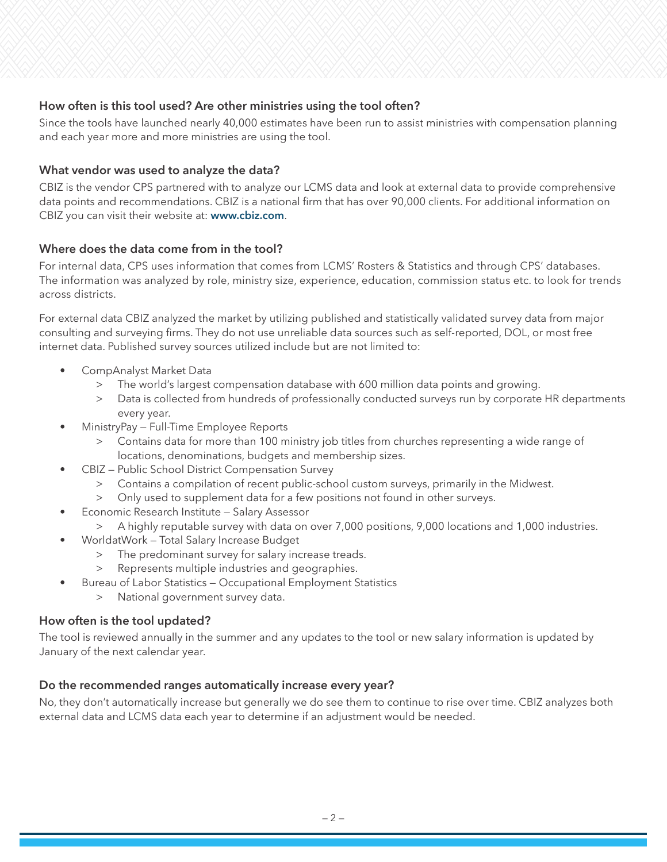# **How often is this tool used? Are other ministries using the tool often?**

Since the tools have launched nearly 40,000 estimates have been run to assist ministries with compensation planning and each year more and more ministries are using the tool.

### **What vendor was used to analyze the data?**

CBIZ is the vendor CPS partnered with to analyze our LCMS data and look at external data to provide comprehensive data points and recommendations. CBIZ is a national firm that has over 90,000 clients. For additional information on CBIZ you can visit their website at: **[www.cbiz.com](http://www.cbiz.com)**.

### **Where does the data come from in the tool?**

For internal data, CPS uses information that comes from LCMS' Rosters & Statistics and through CPS' databases. The information was analyzed by role, ministry size, experience, education, commission status etc. to look for trends across districts.

For external data CBIZ analyzed the market by utilizing published and statistically validated survey data from major consulting and surveying firms. They do not use unreliable data sources such as self-reported, DOL, or most free internet data. Published survey sources utilized include but are not limited to:

- CompAnalyst Market Data
	- > The world's largest compensation database with 600 million data points and growing.
	- > Data is collected from hundreds of professionally conducted surveys run by corporate HR departments every year.
- MinistryPay Full-Time Employee Reports
	- > Contains data for more than 100 ministry job titles from churches representing a wide range of locations, denominations, budgets and membership sizes.
- CBIZ Public School District Compensation Survey
	- > Contains a compilation of recent public-school custom surveys, primarily in the Midwest.
	- > Only used to supplement data for a few positions not found in other surveys.
- Economic Research Institute Salary Assessor
	- > A highly reputable survey with data on over 7,000 positions, 9,000 locations and 1,000 industries.
- WorldatWork Total Salary Increase Budget
	- > The predominant survey for salary increase treads.
	- > Represents multiple industries and geographies.
- Bureau of Labor Statistics Occupational Employment Statistics
	- > National government survey data.

### **How often is the tool updated?**

The tool is reviewed annually in the summer and any updates to the tool or new salary information is updated by January of the next calendar year.

### **Do the recommended ranges automatically increase every year?**

No, they don't automatically increase but generally we do see them to continue to rise over time. CBIZ analyzes both external data and LCMS data each year to determine if an adjustment would be needed.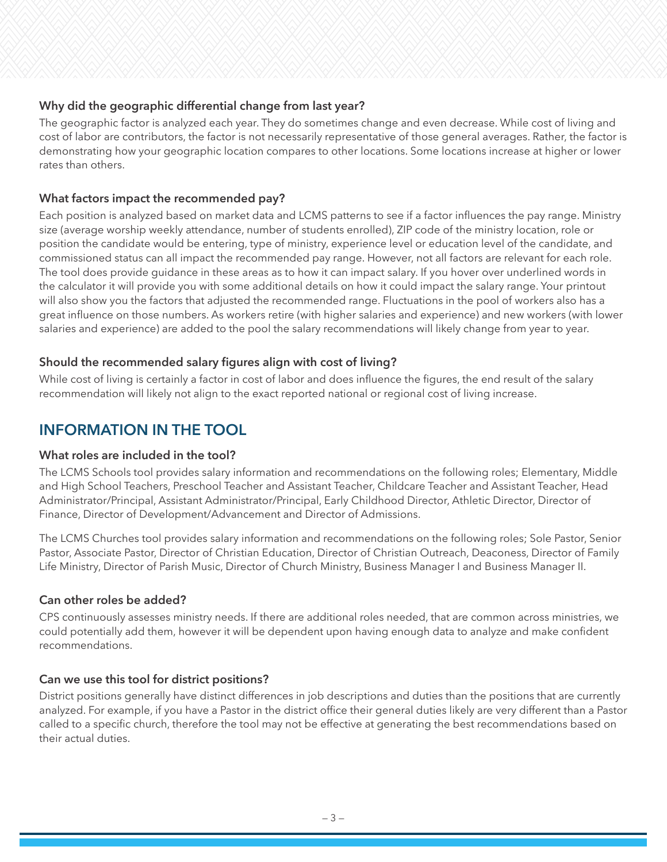# **Why did the geographic differential change from last year?**

The geographic factor is analyzed each year. They do sometimes change and even decrease. While cost of living and cost of labor are contributors, the factor is not necessarily representative of those general averages. Rather, the factor is demonstrating how your geographic location compares to other locations. Some locations increase at higher or lower rates than others.

## **What factors impact the recommended pay?**

Each position is analyzed based on market data and LCMS patterns to see if a factor influences the pay range. Ministry size (average worship weekly attendance, number of students enrolled), ZIP code of the ministry location, role or position the candidate would be entering, type of ministry, experience level or education level of the candidate, and commissioned status can all impact the recommended pay range. However, not all factors are relevant for each role. The tool does provide guidance in these areas as to how it can impact salary. If you hover over underlined words in the calculator it will provide you with some additional details on how it could impact the salary range. Your printout will also show you the factors that adjusted the recommended range. Fluctuations in the pool of workers also has a great influence on those numbers. As workers retire (with higher salaries and experience) and new workers (with lower salaries and experience) are added to the pool the salary recommendations will likely change from year to year.

# **Should the recommended salary figures align with cost of living?**

While cost of living is certainly a factor in cost of labor and does influence the figures, the end result of the salary recommendation will likely not align to the exact reported national or regional cost of living increase.

# **INFORMATION IN THE TOOL**

### **What roles are included in the tool?**

The LCMS Schools tool provides salary information and recommendations on the following roles; Elementary, Middle and High School Teachers, Preschool Teacher and Assistant Teacher, Childcare Teacher and Assistant Teacher, Head Administrator/Principal, Assistant Administrator/Principal, Early Childhood Director, Athletic Director, Director of Finance, Director of Development/Advancement and Director of Admissions.

The LCMS Churches tool provides salary information and recommendations on the following roles; Sole Pastor, Senior Pastor, Associate Pastor, Director of Christian Education, Director of Christian Outreach, Deaconess, Director of Family Life Ministry, Director of Parish Music, Director of Church Ministry, Business Manager I and Business Manager II.

# **Can other roles be added?**

CPS continuously assesses ministry needs. If there are additional roles needed, that are common across ministries, we could potentially add them, however it will be dependent upon having enough data to analyze and make confident recommendations.

### **Can we use this tool for district positions?**

District positions generally have distinct differences in job descriptions and duties than the positions that are currently analyzed. For example, if you have a Pastor in the district office their general duties likely are very different than a Pastor called to a specific church, therefore the tool may not be effective at generating the best recommendations based on their actual duties.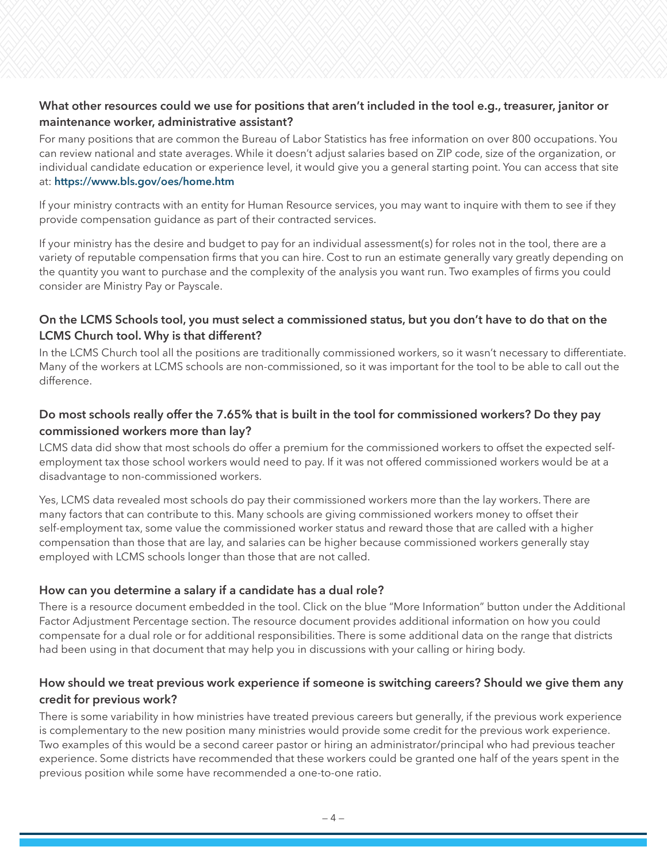## **What other resources could we use for positions that aren't included in the tool e.g., treasurer, janitor or maintenance worker, administrative assistant?**

For many positions that are common the Bureau of Labor Statistics has free information on over 800 occupations. You can review national and state averages. While it doesn't adjust salaries based on ZIP code, size of the organization, or individual candidate education or experience level, it would give you a general starting point. You can access that site at: **<https://www.bls.gov/oes/home.htm>**

If your ministry contracts with an entity for Human Resource services, you may want to inquire with them to see if they provide compensation guidance as part of their contracted services.

If your ministry has the desire and budget to pay for an individual assessment(s) for roles not in the tool, there are a variety of reputable compensation firms that you can hire. Cost to run an estimate generally vary greatly depending on the quantity you want to purchase and the complexity of the analysis you want run. Two examples of firms you could consider are Ministry Pay or Payscale.

## **On the LCMS Schools tool, you must select a commissioned status, but you don't have to do that on the LCMS Church tool. Why is that different?**

In the LCMS Church tool all the positions are traditionally commissioned workers, so it wasn't necessary to differentiate. Many of the workers at LCMS schools are non-commissioned, so it was important for the tool to be able to call out the difference.

# **Do most schools really offer the 7.65% that is built in the tool for commissioned workers? Do they pay commissioned workers more than lay?**

LCMS data did show that most schools do offer a premium for the commissioned workers to offset the expected selfemployment tax those school workers would need to pay. If it was not offered commissioned workers would be at a disadvantage to non-commissioned workers.

Yes, LCMS data revealed most schools do pay their commissioned workers more than the lay workers. There are many factors that can contribute to this. Many schools are giving commissioned workers money to offset their self-employment tax, some value the commissioned worker status and reward those that are called with a higher compensation than those that are lay, and salaries can be higher because commissioned workers generally stay employed with LCMS schools longer than those that are not called.

### **How can you determine a salary if a candidate has a dual role?**

There is a resource document embedded in the tool. Click on the blue "More Information" button under the Additional Factor Adjustment Percentage section. The resource document provides additional information on how you could compensate for a dual role or for additional responsibilities. There is some additional data on the range that districts had been using in that document that may help you in discussions with your calling or hiring body.

# **How should we treat previous work experience if someone is switching careers? Should we give them any credit for previous work?**

There is some variability in how ministries have treated previous careers but generally, if the previous work experience is complementary to the new position many ministries would provide some credit for the previous work experience. Two examples of this would be a second career pastor or hiring an administrator/principal who had previous teacher experience. Some districts have recommended that these workers could be granted one half of the years spent in the previous position while some have recommended a one-to-one ratio.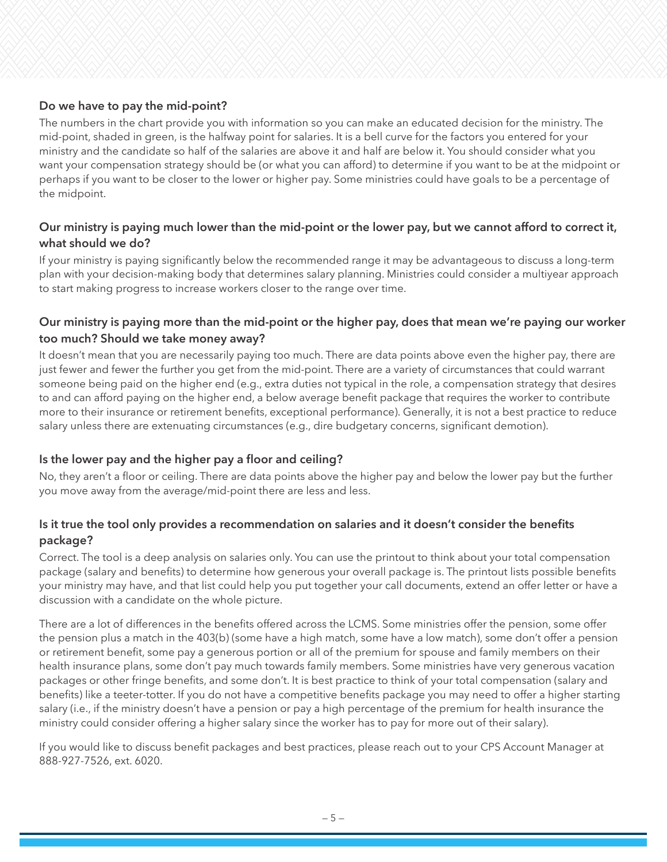# **Do we have to pay the mid-point?**

The numbers in the chart provide you with information so you can make an educated decision for the ministry. The mid-point, shaded in green, is the halfway point for salaries. It is a bell curve for the factors you entered for your ministry and the candidate so half of the salaries are above it and half are below it. You should consider what you want your compensation strategy should be (or what you can afford) to determine if you want to be at the midpoint or perhaps if you want to be closer to the lower or higher pay. Some ministries could have goals to be a percentage of the midpoint.

# **Our ministry is paying much lower than the mid-point or the lower pay, but we cannot afford to correct it, what should we do?**

If your ministry is paying significantly below the recommended range it may be advantageous to discuss a long-term plan with your decision-making body that determines salary planning. Ministries could consider a multiyear approach to start making progress to increase workers closer to the range over time.

# **Our ministry is paying more than the mid-point or the higher pay, does that mean we're paying our worker too much? Should we take money away?**

It doesn't mean that you are necessarily paying too much. There are data points above even the higher pay, there are just fewer and fewer the further you get from the mid-point. There are a variety of circumstances that could warrant someone being paid on the higher end (e.g., extra duties not typical in the role, a compensation strategy that desires to and can afford paying on the higher end, a below average benefit package that requires the worker to contribute more to their insurance or retirement benefits, exceptional performance). Generally, it is not a best practice to reduce salary unless there are extenuating circumstances (e.g., dire budgetary concerns, significant demotion).

# **Is the lower pay and the higher pay a floor and ceiling?**

No, they aren't a floor or ceiling. There are data points above the higher pay and below the lower pay but the further you move away from the average/mid-point there are less and less.

# **Is it true the tool only provides a recommendation on salaries and it doesn't consider the benefits package?**

Correct. The tool is a deep analysis on salaries only. You can use the printout to think about your total compensation package (salary and benefits) to determine how generous your overall package is. The printout lists possible benefits your ministry may have, and that list could help you put together your call documents, extend an offer letter or have a discussion with a candidate on the whole picture.

There are a lot of differences in the benefits offered across the LCMS. Some ministries offer the pension, some offer the pension plus a match in the 403(b) (some have a high match, some have a low match), some don't offer a pension or retirement benefit, some pay a generous portion or all of the premium for spouse and family members on their health insurance plans, some don't pay much towards family members. Some ministries have very generous vacation packages or other fringe benefits, and some don't. It is best practice to think of your total compensation (salary and benefits) like a teeter-totter. If you do not have a competitive benefits package you may need to offer a higher starting salary (i.e., if the ministry doesn't have a pension or pay a high percentage of the premium for health insurance the ministry could consider offering a higher salary since the worker has to pay for more out of their salary).

If you would like to discuss benefit packages and best practices, please reach out to your CPS Account Manager at 888-927-7526, ext. 6020.